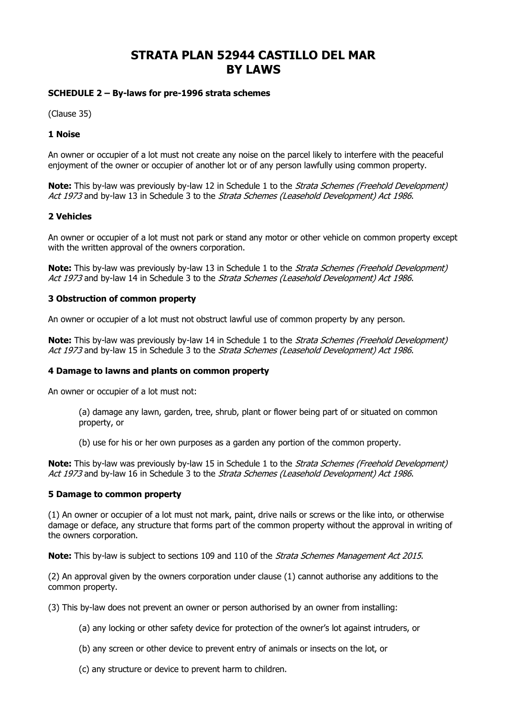# **STRATA PLAN 52944 CASTILLO DEL MAR BY LAWS**

# **SCHEDULE 2 – By-laws for pre-1996 strata schemes**

(Clause 35)

# **1 Noise**

An owner or occupier of a lot must not create any noise on the parcel likely to interfere with the peaceful enjoyment of the owner or occupier of another lot or of any person lawfully using common property.

**Note:** This by-law was previously by-law 12 in Schedule 1 to the *Strata Schemes (Freehold Development)* Act 1973 and by-law 13 in Schedule 3 to the Strata Schemes (Leasehold Development) Act 1986.

# **2 Vehicles**

An owner or occupier of a lot must not park or stand any motor or other vehicle on common property except with the written approval of the owners corporation.

**Note:** This by-law was previously by-law 13 in Schedule 1 to the *Strata Schemes (Freehold Development)* Act 1973 and by-law 14 in Schedule 3 to the Strata Schemes (Leasehold Development) Act 1986.

# **3 Obstruction of common property**

An owner or occupier of a lot must not obstruct lawful use of common property by any person.

**Note:** This by-law was previously by-law 14 in Schedule 1 to the *Strata Schemes (Freehold Development)* Act 1973 and by-law 15 in Schedule 3 to the Strata Schemes (Leasehold Development) Act 1986.

# **4 Damage to lawns and plants on common property**

An owner or occupier of a lot must not:

- (a) damage any lawn, garden, tree, shrub, plant or flower being part of or situated on common property, or
- (b) use for his or her own purposes as a garden any portion of the common property.

**Note:** This by-law was previously by-law 15 in Schedule 1 to the *Strata Schemes (Freehold Development)* Act 1973 and by-law 16 in Schedule 3 to the Strata Schemes (Leasehold Development) Act 1986.

# **5 Damage to common property**

(1) An owner or occupier of a lot must not mark, paint, drive nails or screws or the like into, or otherwise damage or deface, any structure that forms part of the common property without the approval in writing of the owners corporation.

**Note:** This by-law is subject to sections 109 and 110 of the *[Strata Schemes Management Act](http://www.austlii.edu.au/au/legis/nsw/consol_act/ssma2015242/) [2015](http://www.austlii.edu.au/au/legis/nsw/consol_act/ssma2015242/)*.

(2) An approval given by the owners corporation under [clause](http://www.austlii.edu.au/au/legis/nsw/consol_reg/ssmr2016333/s68.html#clause) (1) cannot authorise any additions to the common property.

(3) This by-law does not prevent an owner or person authorised by an owner from installing:

- (a) any locking or other safety device for protection of the owner's lot against intruders, or
- (b) any screen or other device to prevent entry of animals or insects on the lot, or
- (c) any structure or device to prevent harm to children.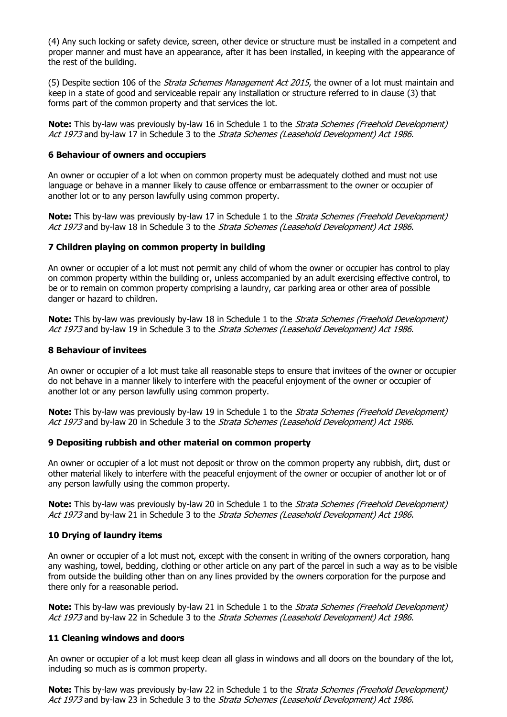(4) Any such locking or safety device, screen, other device or structure must be installed in a competent and proper manner and must have an appearance, after it has been installed, in keeping with the appearance of the rest of the building.

(5) Despite section 106 of the *[Strata Schemes](http://www.austlii.edu.au/au/legis/nsw/consol_act/ssma2015242/) [Management Act 2015](http://www.austlii.edu.au/au/legis/nsw/consol_act/ssma2015242/)*, the owner of a lot must maintain and keep in a state of good and serviceable repair any installation or structure referred to in [clause](http://www.austlii.edu.au/au/legis/nsw/consol_reg/ssmr2016333/s68.html#clause) (3) that forms part of the common property and that services the lot.

**Note:** This by-law was previously by-law 16 in Schedule 1 to the *Strata Schemes (Freehold Development)* Act 1973 and by-law 17 in Schedule 3 to the Strata Schemes (Leasehold Development) Act 1986.

### **6 Behaviour of owners and occupiers**

An owner or occupier of a lot when on common property must be adequately clothed and must not use language or behave in a manner likely to cause offence or embarrassment to the owner or occupier of another lot or to any person lawfully using common property.

**Note:** This by-law was previously by-law 17 in Schedule 1 to the Strata Schemes (Freehold Development) Act 1973 and by-law 18 in Schedule 3 to the Strata Schemes (Leasehold Development) Act 1986.

#### **7 Children playing on common property in building**

An owner or occupier of a lot must not permit any child of whom the owner or occupier has control to play on common property within the building or, unless accompanied by an adult exercising effective control, to be or to remain on common property comprising a laundry, car parking area or other area of possible danger or hazard to children.

**Note:** This by-law was previously by-law 18 in Schedule 1 to the *Strata Schemes (Freehold Development)* Act 1973 and by-law 19 in Schedule 3 to the Strata Schemes (Leasehold Development) Act 1986.

#### **8 Behaviour of invitees**

An owner or occupier of a lot must take all reasonable steps to ensure that invitees of the owner or occupier do not behave in a manner likely to interfere with the peaceful enjoyment of the owner or occupier of another lot or any person lawfully using common property.

**Note:** This by-law was previously by-law 19 in Schedule 1 to the *Strata Schemes (Freehold Development)* Act 1973 and by-law 20 in Schedule 3 to the Strata Schemes (Leasehold Development) Act 1986.

#### **9 Depositing rubbish and other material on common property**

An owner or occupier of a lot must not deposit or throw on the common property any rubbish, dirt, dust or other material likely to interfere with the peaceful enjoyment of the owner or occupier of another lot or of any person lawfully using the common property.

**Note:** This by-law was previously by-law 20 in Schedule 1 to the *Strata Schemes (Freehold Development)* Act 1973 and by-law 21 in Schedule 3 to the Strata Schemes (Leasehold Development) Act 1986.

# **10 Drying of laundry items**

An owner or occupier of a lot must not, except with the consent in writing of the owners corporation, hang any washing, towel, bedding, clothing or other article on any part of the parcel in such a way as to be visible from outside the building other than on any lines provided by the owners corporation for the purpose and there only for a reasonable period.

**Note:** This by-law was previously by-law 21 in Schedule 1 to the *Strata Schemes (Freehold Development)* Act 1973 and by-law 22 in Schedule 3 to the Strata Schemes (Leasehold Development) Act 1986.

#### **11 Cleaning windows and doors**

An owner or occupier of a lot must keep clean all glass in windows and all doors on the boundary of the lot, including so much as is common property.

**Note:** This by-law was previously by-law 22 in Schedule 1 to the *Strata Schemes (Freehold Development)* Act 1973 and by-law 23 in Schedule 3 to the Strata Schemes (Leasehold Development) Act 1986.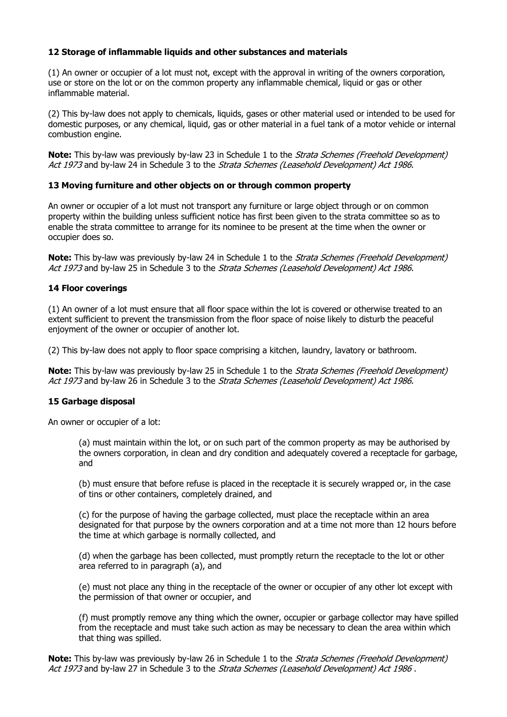# **12 Storage of inflammable liquids and other substances and materials**

(1) An owner or occupier of a lot must not, except with the approval in writing of the owners corporation, use or store on the lot or on the common property any inflammable chemical, liquid or gas or other inflammable material.

(2) This by-law does not apply to chemicals, liquids, gases or other material used or intended to be used for domestic purposes, or any chemical, liquid, gas or other material in a fuel tank of a motor vehicle or internal combustion engine.

**Note:** This by-law was previously by-law 23 in Schedule 1 to the *Strata Schemes (Freehold Development)* Act 1973 and by-law 24 in Schedule 3 to the Strata Schemes (Leasehold Development) Act 1986.

# **13 Moving furniture and other objects on or through common property**

An owner or occupier of a lot must not transport any furniture or large object through or on common property within the building unless sufficient notice has first been given to the strata committee so as to enable the strata committee to arrange for its nominee to be present at the time when the owner or occupier does so.

**Note:** This by-law was previously by-law 24 in Schedule 1 to the *Strata Schemes (Freehold Development)* Act 1973 and by-law 25 in Schedule 3 to the Strata Schemes (Leasehold Development) Act 1986.

# **14 Floor coverings**

(1) An owner of a lot must ensure that all floor space within the lot is covered or otherwise treated to an extent sufficient to prevent the transmission from the floor space of noise likely to disturb the peaceful enjoyment of the owner or occupier of another lot.

(2) This by-law does not apply to floor space comprising a kitchen, laundry, lavatory or bathroom.

**Note:** This by-law was previously by-law 25 in Schedule 1 to the *Strata Schemes (Freehold Development)* Act 1973 and by-law 26 in Schedule 3 to the Strata Schemes (Leasehold Development) Act 1986.

# **15 Garbage disposal**

An owner or occupier of a lot:

(a) must maintain within the lot, or on such part of the common property as may be authorised by the owners corporation, in clean and dry condition and adequately covered a receptacle for garbage, and

(b) must ensure that before refuse is placed in the receptacle it is securely wrapped or, in the case of tins or other containers, completely drained, and

(c) for the purpose of having the garbage collected, must place the receptacle within an area designated for that purpose by the owners corporation and at a time not more than 12 hours before the time at which garbage is normally collected, and

(d) when the garbage has been collected, must promptly return the receptacle to the lot or other area referred to in paragraph (a), and

(e) must not place any thing in the receptacle of the owner or occupier of any other lot except with the permission of that owner or occupier, and

(f) must promptly remove any thing which the owner, occupier or garbage collector may have spilled from the receptacle and must take such action as may be necessary to clean the area within which that thing was spilled.

**Note:** This by-law was previously by-law 26 in Schedule 1 to the *Strata Schemes (Freehold Development)* Act 1973 and by-law 27 in Schedule 3 to the Strata Schemes (Leasehold Development) Act 1986.